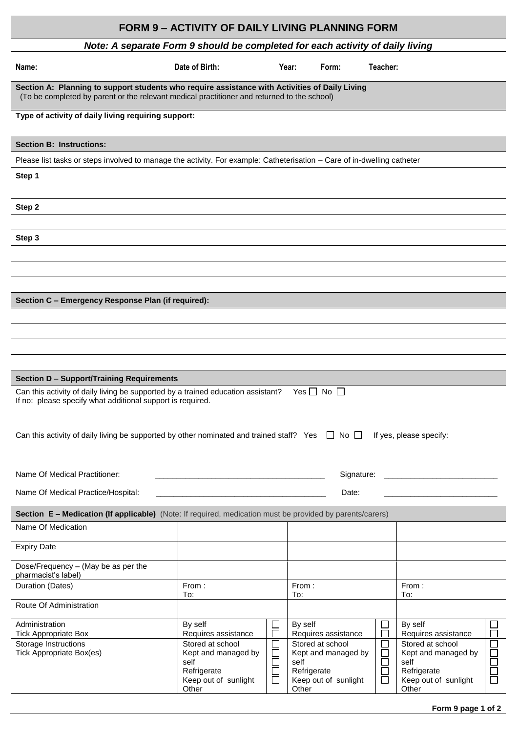|                                                                                                                                                                                               | <b>FORM 9 - ACTIVITY OF DAILY LIVING PLANNING FORM</b> |                          |                                         |                  |                                              |
|-----------------------------------------------------------------------------------------------------------------------------------------------------------------------------------------------|--------------------------------------------------------|--------------------------|-----------------------------------------|------------------|----------------------------------------------|
| Note: A separate Form 9 should be completed for each activity of daily living                                                                                                                 |                                                        |                          |                                         |                  |                                              |
| Name:                                                                                                                                                                                         | Date of Birth:                                         |                          | Year:<br>Form:                          | Teacher:         |                                              |
| Section A: Planning to support students who require assistance with Activities of Daily Living<br>(To be completed by parent or the relevant medical practitioner and returned to the school) |                                                        |                          |                                         |                  |                                              |
| Type of activity of daily living requiring support:                                                                                                                                           |                                                        |                          |                                         |                  |                                              |
| <b>Section B: Instructions:</b>                                                                                                                                                               |                                                        |                          |                                         |                  |                                              |
| Please list tasks or steps involved to manage the activity. For example: Catheterisation - Care of in-dwelling catheter                                                                       |                                                        |                          |                                         |                  |                                              |
| Step 1                                                                                                                                                                                        |                                                        |                          |                                         |                  |                                              |
|                                                                                                                                                                                               |                                                        |                          |                                         |                  |                                              |
| Step 2                                                                                                                                                                                        |                                                        |                          |                                         |                  |                                              |
|                                                                                                                                                                                               |                                                        |                          |                                         |                  |                                              |
| Step 3                                                                                                                                                                                        |                                                        |                          |                                         |                  |                                              |
|                                                                                                                                                                                               |                                                        |                          |                                         |                  |                                              |
|                                                                                                                                                                                               |                                                        |                          |                                         |                  |                                              |
| Section C - Emergency Response Plan (if required):                                                                                                                                            |                                                        |                          |                                         |                  |                                              |
|                                                                                                                                                                                               |                                                        |                          |                                         |                  |                                              |
|                                                                                                                                                                                               |                                                        |                          |                                         |                  |                                              |
|                                                                                                                                                                                               |                                                        |                          |                                         |                  |                                              |
|                                                                                                                                                                                               |                                                        |                          |                                         |                  |                                              |
| <b>Section D - Support/Training Requirements</b>                                                                                                                                              |                                                        |                          |                                         |                  |                                              |
| Can this activity of daily living be supported by a trained education assistant?<br>If no: please specify what additional support is required.                                                |                                                        |                          | Yes $\Box$ No $\Box$                    |                  |                                              |
|                                                                                                                                                                                               |                                                        |                          |                                         |                  |                                              |
| Can this activity of daily living be supported by other nominated and trained staff? Yes $\Box$ No $\Box$                                                                                     |                                                        |                          |                                         |                  | If yes, please specify:                      |
|                                                                                                                                                                                               |                                                        |                          |                                         |                  |                                              |
|                                                                                                                                                                                               |                                                        |                          |                                         |                  |                                              |
| Name Of Medical Practitioner:                                                                                                                                                                 |                                                        |                          | Signature:                              |                  |                                              |
| Name Of Medical Practice/Hospital:                                                                                                                                                            |                                                        |                          | Date:                                   |                  |                                              |
| Section E - Medication (If applicable) (Note: If required, medication must be provided by parents/carers)                                                                                     |                                                        |                          |                                         |                  |                                              |
| Name Of Medication                                                                                                                                                                            |                                                        |                          |                                         |                  |                                              |
| <b>Expiry Date</b>                                                                                                                                                                            |                                                        |                          |                                         |                  |                                              |
| Dose/Frequency - (May be as per the                                                                                                                                                           |                                                        |                          |                                         |                  |                                              |
| pharmacist's label)<br>Duration (Dates)                                                                                                                                                       | From:                                                  |                          | From:                                   |                  | From:                                        |
|                                                                                                                                                                                               | To:                                                    |                          | To:                                     |                  | To:                                          |
| Route Of Administration                                                                                                                                                                       |                                                        |                          |                                         |                  |                                              |
| Administration<br><b>Tick Appropriate Box</b>                                                                                                                                                 | By self<br>Requires assistance                         |                          | By self<br>Requires assistance          |                  | By self<br>$\Box$<br>Requires assistance     |
| Storage Instructions<br><b>Tick Appropriate Box(es)</b>                                                                                                                                       | Stored at school<br>Kept and managed by                | $\overline{\phantom{a}}$ | Stored at school<br>Kept and managed by | $\Box$           | Stored at school<br>└<br>Kept and managed by |
|                                                                                                                                                                                               | self<br>Refrigerate                                    | $\mathcal{L}$<br>$\sim$  | self<br>Refrigerate                     | $\Box$<br>$\Box$ | $\Box$<br>self<br>$\Box$<br>Refrigerate      |
|                                                                                                                                                                                               | Keep out of sunlight<br>Other                          | $\overline{\phantom{0}}$ | Keep out of sunlight<br>Other           | $\Box$           | Ō<br>Keep out of sunlight<br>Other           |